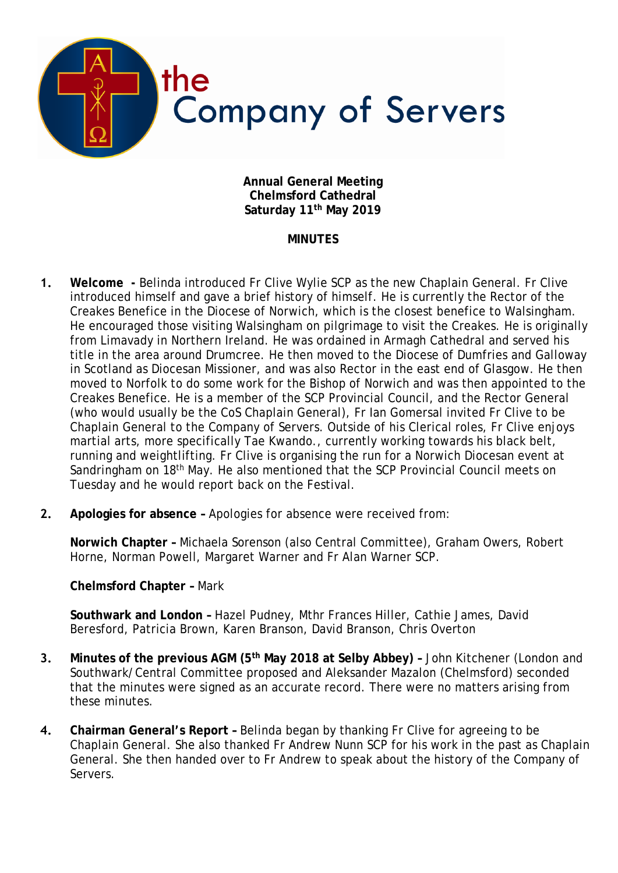

**Annual General Meeting Chelmsford Cathedral Saturday 11th May 2019**

## **MINUTES**

- **1. Welcome** Belinda introduced Fr Clive Wylie SCP as the new Chaplain General. Fr Clive introduced himself and gave a brief history of himself. He is currently the Rector of the Creakes Benefice in the Diocese of Norwich, which is the closest benefice to Walsingham. He encouraged those visiting Walsingham on pilgrimage to visit the Creakes. He is originally from Limavady in Northern Ireland. He was ordained in Armagh Cathedral and served his title in the area around Drumcree. He then moved to the Diocese of Dumfries and Galloway in Scotland as Diocesan Missioner, and was also Rector in the east end of Glasgow. He then moved to Norfolk to do some work for the Bishop of Norwich and was then appointed to the Creakes Benefice. He is a member of the SCP Provincial Council, and the Rector General (who would usually be the CoS Chaplain General), Fr Ian Gomersal invited Fr Clive to be Chaplain General to the Company of Servers. Outside of his Clerical roles, Fr Clive enjoys martial arts, more specifically Tae Kwando., currently working towards his black belt, running and weightlifting. Fr Clive is organising the run for a Norwich Diocesan event at Sandringham on 18th May. He also mentioned that the SCP Provincial Council meets on Tuesday and he would report back on the Festival.
- **2. Apologies for absence –** Apologies for absence were received from:

**Norwich Chapter –** Michaela Sorenson (also Central Committee), Graham Owers, Robert Horne, Norman Powell, Margaret Warner and Fr Alan Warner SCP.

**Chelmsford Chapter –** Mark

**Southwark and London –** Hazel Pudney, Mthr Frances Hiller, Cathie James, David Beresford, Patricia Brown, Karen Branson, David Branson, Chris Overton

- **3. Minutes of the previous AGM (5th May 2018 at Selby Abbey) –** John Kitchener (London and Southwark/Central Committee proposed and Aleksander Mazalon (Chelmsford) seconded that the minutes were signed as an accurate record. There were no matters arising from these minutes.
- **4. Chairman General's Report –** Belinda began by thanking Fr Clive for agreeing to be Chaplain General. She also thanked Fr Andrew Nunn SCP for his work in the past as Chaplain General. She then handed over to Fr Andrew to speak about the history of the Company of Servers.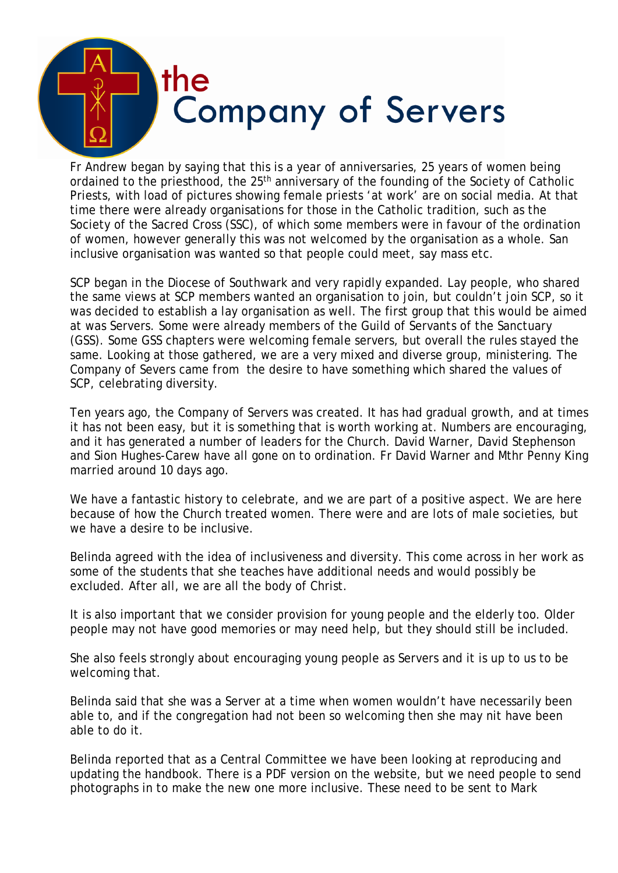

Fr Andrew began by saying that this is a year of anniversaries, 25 years of women being ordained to the priesthood, the 25<sup>th</sup> anniversary of the founding of the Society of Catholic Priests, with load of pictures showing female priests 'at work' are on social media. At that time there were already organisations for those in the Catholic tradition, such as the Society of the Sacred Cross (SSC), of which some members were in favour of the ordination of women, however generally this was not welcomed by the organisation as a whole. San inclusive organisation was wanted so that people could meet, say mass etc.

SCP began in the Diocese of Southwark and very rapidly expanded. Lay people, who shared the same views at SCP members wanted an organisation to join, but couldn't join SCP, so it was decided to establish a lay organisation as well. The first group that this would be aimed at was Servers. Some were already members of the Guild of Servants of the Sanctuary (GSS). Some GSS chapters were welcoming female servers, but overall the rules stayed the same. Looking at those gathered, we are a very mixed and diverse group, ministering. The Company of Severs came from the desire to have something which shared the values of SCP, celebrating diversity.

Ten years ago, the Company of Servers was created. It has had gradual growth, and at times it has not been easy, but it is something that is worth working at. Numbers are encouraging, and it has generated a number of leaders for the Church. David Warner, David Stephenson and Sion Hughes-Carew have all gone on to ordination. Fr David Warner and Mthr Penny King married around 10 days ago.

We have a fantastic history to celebrate, and we are part of a positive aspect. We are here because of how the Church treated women. There were and are lots of male societies, but we have a desire to be inclusive.

Belinda agreed with the idea of inclusiveness and diversity. This come across in her work as some of the students that she teaches have additional needs and would possibly be excluded. After all, we are all the body of Christ.

It is also important that we consider provision for young people and the elderly too. Older people may not have good memories or may need help, but they should still be included.

She also feels strongly about encouraging young people as Servers and it is up to us to be welcoming that.

Belinda said that she was a Server at a time when women wouldn't have necessarily been able to, and if the congregation had not been so welcoming then she may nit have been able to do it.

Belinda reported that as a Central Committee we have been looking at reproducing and updating the handbook. There is a PDF version on the website, but we need people to send photographs in to make the new one more inclusive. These need to be sent to Mark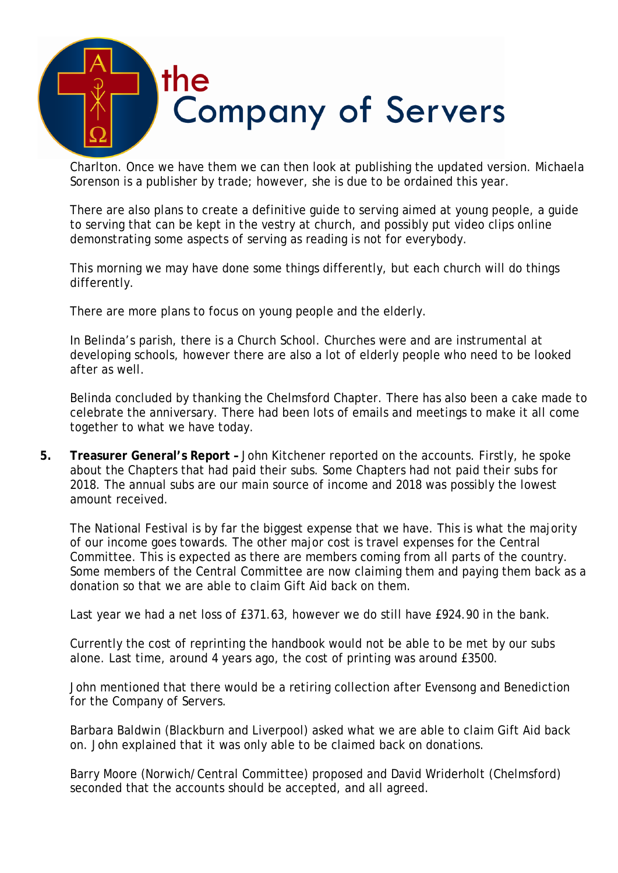

Charlton. Once we have them we can then look at publishing the updated version. Michaela Sorenson is a publisher by trade; however, she is due to be ordained this year.

There are also plans to create a definitive guide to serving aimed at young people, a guide to serving that can be kept in the vestry at church, and possibly put video clips online demonstrating some aspects of serving as reading is not for everybody.

This morning we may have done some things differently, but each church will do things differently.

There are more plans to focus on young people and the elderly.

In Belinda's parish, there is a Church School. Churches were and are instrumental at developing schools, however there are also a lot of elderly people who need to be looked after as well.

Belinda concluded by thanking the Chelmsford Chapter. There has also been a cake made to celebrate the anniversary. There had been lots of emails and meetings to make it all come together to what we have today.

**5. Treasurer General's Report –** John Kitchener reported on the accounts. Firstly, he spoke about the Chapters that had paid their subs. Some Chapters had not paid their subs for 2018. The annual subs are our main source of income and 2018 was possibly the lowest amount received.

The National Festival is by far the biggest expense that we have. This is what the majority of our income goes towards. The other major cost is travel expenses for the Central Committee. This is expected as there are members coming from all parts of the country. Some members of the Central Committee are now claiming them and paying them back as a donation so that we are able to claim Gift Aid back on them.

Last year we had a net loss of £371.63, however we do still have £924.90 in the bank.

Currently the cost of reprinting the handbook would not be able to be met by our subs alone. Last time, around 4 years ago, the cost of printing was around £3500.

John mentioned that there would be a retiring collection after Evensong and Benediction for the Company of Servers.

Barbara Baldwin (Blackburn and Liverpool) asked what we are able to claim Gift Aid back on. John explained that it was only able to be claimed back on donations.

Barry Moore (Norwich/Central Committee) proposed and David Wriderholt (Chelmsford) seconded that the accounts should be accepted, and all agreed.